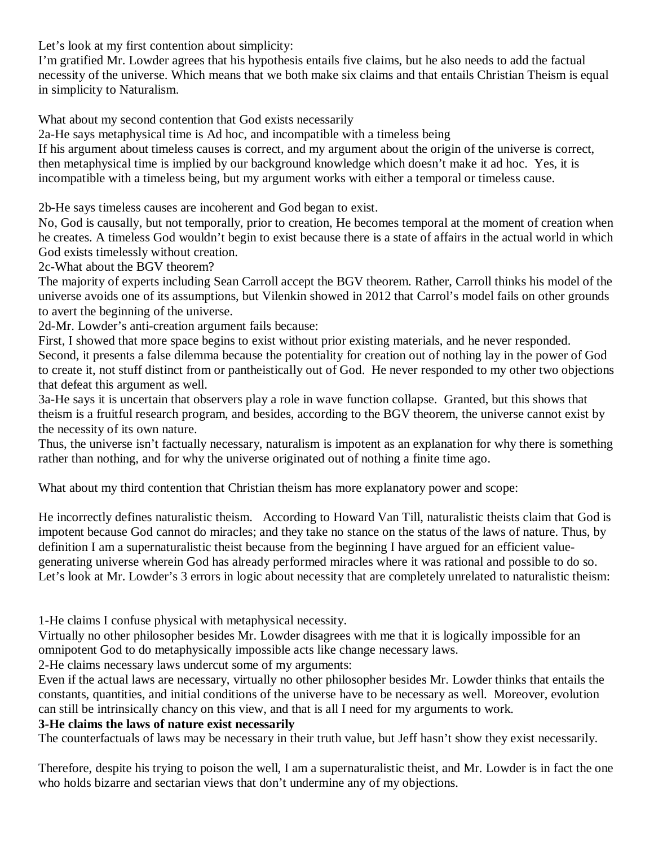Let's look at my first contention about simplicity:

I'm gratified Mr. Lowder agrees that his hypothesis entails five claims, but he also needs to add the factual necessity of the universe. Which means that we both make six claims and that entails Christian Theism is equal in simplicity to Naturalism.

What about my second contention that God exists necessarily

2a-He says metaphysical time is Ad hoc, and incompatible with a timeless being

If his argument about timeless causes is correct, and my argument about the origin of the universe is correct, then metaphysical time is implied by our background knowledge which doesn't make it ad hoc. Yes, it is incompatible with a timeless being, but my argument works with either a temporal or timeless cause.

2b-He says timeless causes are incoherent and God began to exist.

No, God is causally, but not temporally, prior to creation, He becomes temporal at the moment of creation when he creates. A timeless God wouldn't begin to exist because there is a state of affairs in the actual world in which God exists timelessly without creation.

2c-What about the BGV theorem?

The majority of experts including Sean Carroll accept the BGV theorem. Rather, Carroll thinks his model of the universe avoids one of its assumptions, but Vilenkin showed in 2012 that Carrol's model fails on other grounds to avert the beginning of the universe.

2d-Mr. Lowder's anti-creation argument fails because:

First, I showed that more space begins to exist without prior existing materials, and he never responded. Second, it presents a false dilemma because the potentiality for creation out of nothing lay in the power of God to create it, not stuff distinct from or pantheistically out of God. He never responded to my other two objections that defeat this argument as well.

3a-He says it is uncertain that observers play a role in wave function collapse. Granted, but this shows that theism is a fruitful research program, and besides, according to the BGV theorem, the universe cannot exist by the necessity of its own nature.

Thus, the universe isn't factually necessary, naturalism is impotent as an explanation for why there is something rather than nothing, and for why the universe originated out of nothing a finite time ago.

What about my third contention that Christian theism has more explanatory power and scope:

He incorrectly defines naturalistic theism. According to Howard Van Till, naturalistic theists claim that God is impotent because God cannot do miracles; and they take no stance on the status of the laws of nature. Thus, by definition I am a supernaturalistic theist because from the beginning I have argued for an efficient valuegenerating universe wherein God has already performed miracles where it was rational and possible to do so. Let's look at Mr. Lowder's 3 errors in logic about necessity that are completely unrelated to naturalistic theism:

1-He claims I confuse physical with metaphysical necessity.

Virtually no other philosopher besides Mr. Lowder disagrees with me that it is logically impossible for an omnipotent God to do metaphysically impossible acts like change necessary laws.

2-He claims necessary laws undercut some of my arguments:

Even if the actual laws are necessary, virtually no other philosopher besides Mr. Lowder thinks that entails the constants, quantities, and initial conditions of the universe have to be necessary as well. Moreover, evolution can still be intrinsically chancy on this view, and that is all I need for my arguments to work.

#### **3-He claims the laws of nature exist necessarily**

The counterfactuals of laws may be necessary in their truth value, but Jeff hasn't show they exist necessarily.

Therefore, despite his trying to poison the well, I am a supernaturalistic theist, and Mr. Lowder is in fact the one who holds bizarre and sectarian views that don't undermine any of my objections.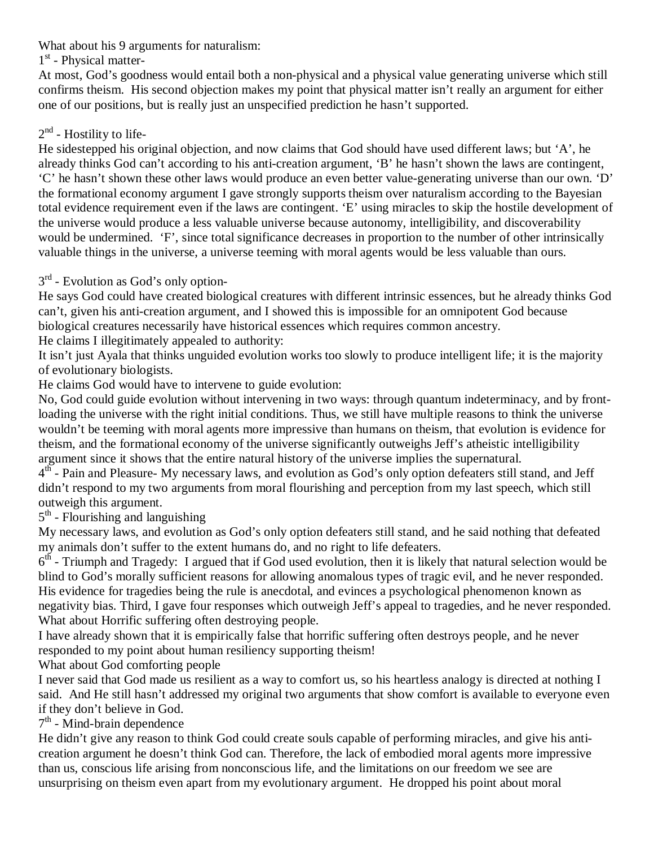What about his 9 arguments for naturalism:

1<sup>st</sup> - Physical matter-

At most, God's goodness would entail both a non-physical and a physical value generating universe which still confirms theism. His second objection makes my point that physical matter isn't really an argument for either one of our positions, but is really just an unspecified prediction he hasn't supported.

# $2<sup>nd</sup>$  - Hostility to life-

He sidestepped his original objection, and now claims that God should have used different laws; but 'A', he already thinks God can't according to his anti-creation argument, 'B' he hasn't shown the laws are contingent, 'C' he hasn't shown these other laws would produce an even better value-generating universe than our own. 'D' the formational economy argument I gave strongly supports theism over naturalism according to the Bayesian total evidence requirement even if the laws are contingent. 'E' using miracles to skip the hostile development of the universe would produce a less valuable universe because autonomy, intelligibility, and discoverability would be undermined. 'F', since total significance decreases in proportion to the number of other intrinsically valuable things in the universe, a universe teeming with moral agents would be less valuable than ours.

# $3<sup>rd</sup>$  - Evolution as God's only option-

He says God could have created biological creatures with different intrinsic essences, but he already thinks God can't, given his anti-creation argument, and I showed this is impossible for an omnipotent God because biological creatures necessarily have historical essences which requires common ancestry.

He claims I illegitimately appealed to authority:

It isn't just Ayala that thinks unguided evolution works too slowly to produce intelligent life; it is the majority of evolutionary biologists.

He claims God would have to intervene to guide evolution:

No, God could guide evolution without intervening in two ways: through quantum indeterminacy, and by frontloading the universe with the right initial conditions. Thus, we still have multiple reasons to think the universe wouldn't be teeming with moral agents more impressive than humans on theism, that evolution is evidence for theism, and the formational economy of the universe significantly outweighs Jeff's atheistic intelligibility argument since it shows that the entire natural history of the universe implies the supernatural.

 $4<sup>th</sup>$  - Pain and Pleasure- My necessary laws, and evolution as God's only option defeaters still stand, and Jeff didn't respond to my two arguments from moral flourishing and perception from my last speech, which still outweigh this argument.

 $5<sup>th</sup>$  - Flourishing and languishing

My necessary laws, and evolution as God's only option defeaters still stand, and he said nothing that defeated my animals don't suffer to the extent humans do, and no right to life defeaters.

 $6<sup>th</sup>$  - Triumph and Tragedy: I argued that if God used evolution, then it is likely that natural selection would be blind to God's morally sufficient reasons for allowing anomalous types of tragic evil, and he never responded. His evidence for tragedies being the rule is anecdotal, and evinces a psychological phenomenon known as negativity bias. Third, I gave four responses which outweigh Jeff's appeal to tragedies, and he never responded. What about Horrific suffering often destroying people.

I have already shown that it is empirically false that horrific suffering often destroys people, and he never responded to my point about human resiliency supporting theism!

What about God comforting people

I never said that God made us resilient as a way to comfort us, so his heartless analogy is directed at nothing I said. And He still hasn't addressed my original two arguments that show comfort is available to everyone even if they don't believe in God.

 $7<sup>th</sup>$  - Mind-brain dependence

He didn't give any reason to think God could create souls capable of performing miracles, and give his anticreation argument he doesn't think God can. Therefore, the lack of embodied moral agents more impressive than us, conscious life arising from nonconscious life, and the limitations on our freedom we see are unsurprising on theism even apart from my evolutionary argument. He dropped his point about moral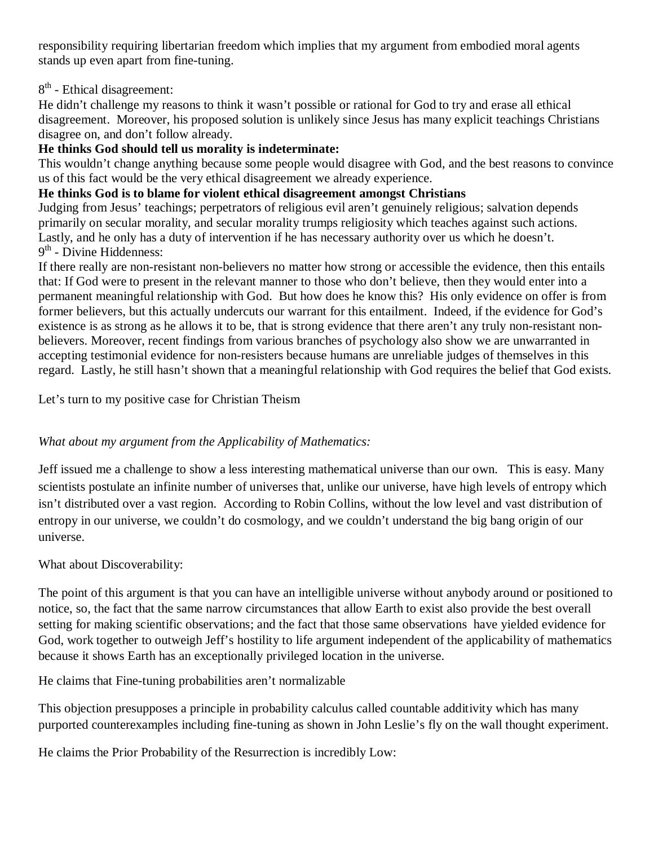responsibility requiring libertarian freedom which implies that my argument from embodied moral agents stands up even apart from fine-tuning.

### $8<sup>th</sup>$  - Ethical disagreement:

He didn't challenge my reasons to think it wasn't possible or rational for God to try and erase all ethical disagreement. Moreover, his proposed solution is unlikely since Jesus has many explicit teachings Christians disagree on, and don't follow already.

### **He thinks God should tell us morality is indeterminate:**

This wouldn't change anything because some people would disagree with God, and the best reasons to convince us of this fact would be the very ethical disagreement we already experience.

#### **He thinks God is to blame for violent ethical disagreement amongst Christians**

Judging from Jesus' teachings; perpetrators of religious evil aren't genuinely religious; salvation depends primarily on secular morality, and secular morality trumps religiosity which teaches against such actions. Lastly, and he only has a duty of intervention if he has necessary authority over us which he doesn't.  $9<sup>th</sup>$  - Divine Hiddenness:

If there really are non-resistant non-believers no matter how strong or accessible the evidence, then this entails that: If God were to present in the relevant manner to those who don't believe, then they would enter into a permanent meaningful relationship with God. But how does he know this? His only evidence on offer is from former believers, but this actually undercuts our warrant for this entailment. Indeed, if the evidence for God's existence is as strong as he allows it to be, that is strong evidence that there aren't any truly non-resistant nonbelievers. Moreover, recent findings from various branches of psychology also show we are unwarranted in accepting testimonial evidence for non-resisters because humans are unreliable judges of themselves in this regard. Lastly, he still hasn't shown that a meaningful relationship with God requires the belief that God exists.

Let's turn to my positive case for Christian Theism

# *What about my argument from the Applicability of Mathematics:*

Jeff issued me a challenge to show a less interesting mathematical universe than our own. This is easy. Many scientists postulate an infinite number of universes that, unlike our universe, have high levels of entropy which isn't distributed over a vast region. According to Robin Collins, without the low level and vast distribution of entropy in our universe, we couldn't do cosmology, and we couldn't understand the big bang origin of our universe.

#### What about Discoverability:

The point of this argument is that you can have an intelligible universe without anybody around or positioned to notice, so, the fact that the same narrow circumstances that allow Earth to exist also provide the best overall setting for making scientific observations; and the fact that those same observations have yielded evidence for God, work together to outweigh Jeff's hostility to life argument independent of the applicability of mathematics because it shows Earth has an exceptionally privileged location in the universe.

He claims that Fine-tuning probabilities aren't normalizable

This objection presupposes a principle in probability calculus called countable additivity which has many purported counterexamples including fine-tuning as shown in John Leslie's fly on the wall thought experiment.

He claims the Prior Probability of the Resurrection is incredibly Low: